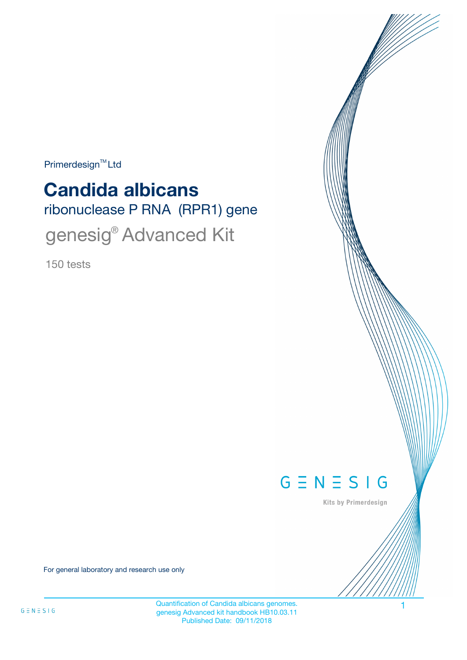Primerdesign<sup>™</sup>Ltd

# ribonuclease P RNA (RPR1) gene **Candida albicans** genesig<sup>®</sup> Advanced Kit

150 tests



Kits by Primerdesign

For general laboratory and research use only

Quantification of Candida albicans genomes. genesig Advanced kit handbook HB10.03.11 Published Date: 09/11/2018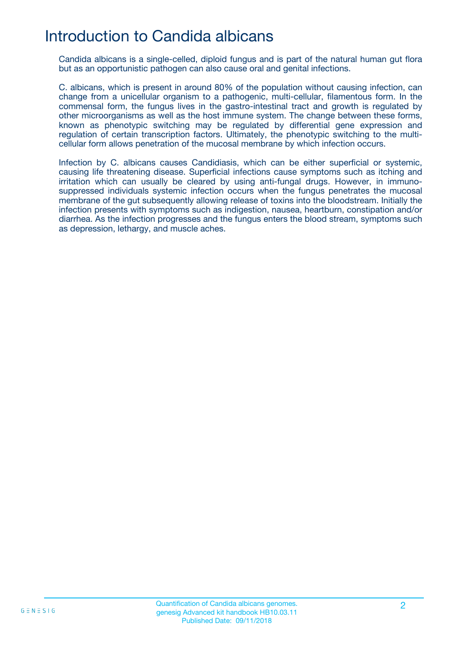## Introduction to Candida albicans

Candida albicans is a single-celled, diploid fungus and is part of the natural human gut flora but as an opportunistic pathogen can also cause oral and genital infections.

C. albicans, which is present in around 80% of the population without causing infection, can change from a unicellular organism to a pathogenic, multi-cellular, filamentous form. In the commensal form, the fungus lives in the gastro-intestinal tract and growth is regulated by other microorganisms as well as the host immune system. The change between these forms, known as phenotypic switching may be regulated by differential gene expression and regulation of certain transcription factors. Ultimately, the phenotypic switching to the multicellular form allows penetration of the mucosal membrane by which infection occurs.

Infection by C. albicans causes Candidiasis, which can be either superficial or systemic, causing life threatening disease. Superficial infections cause symptoms such as itching and irritation which can usually be cleared by using anti-fungal drugs. However, in immunosuppressed individuals systemic infection occurs when the fungus penetrates the mucosal membrane of the gut subsequently allowing release of toxins into the bloodstream. Initially the infection presents with symptoms such as indigestion, nausea, heartburn, constipation and/or diarrhea. As the infection progresses and the fungus enters the blood stream, symptoms such as depression, lethargy, and muscle aches.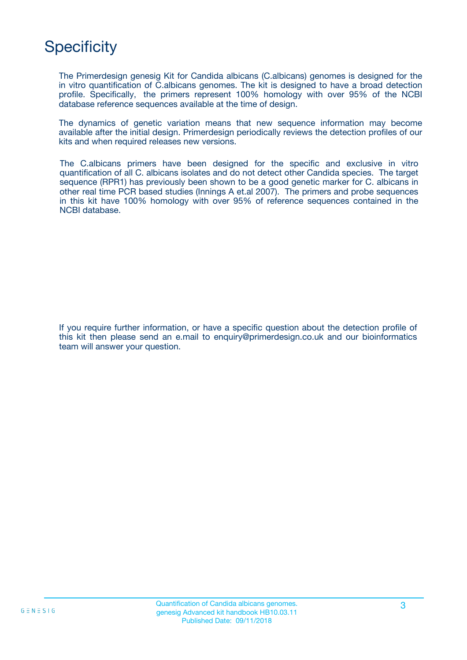## **Specificity**

The Primerdesign genesig Kit for Candida albicans (C.albicans) genomes is designed for the in vitro quantification of C.albicans genomes. The kit is designed to have a broad detection profile. Specifically, the primers represent 100% homology with over 95% of the NCBI database reference sequences available at the time of design.

The dynamics of genetic variation means that new sequence information may become available after the initial design. Primerdesign periodically reviews the detection profiles of our kits and when required releases new versions.

The C.albicans primers have been designed for the specific and exclusive in vitro quantification of all C. albicans isolates and do not detect other Candida species. The target sequence (RPR1) has previously been shown to be a good genetic marker for C. albicans in other real time PCR based studies (Innings A et.al 2007). The primers and probe sequences in this kit have 100% homology with over 95% of reference sequences contained in the NCBI database.

If you require further information, or have a specific question about the detection profile of this kit then please send an e.mail to enquiry@primerdesign.co.uk and our bioinformatics team will answer your question.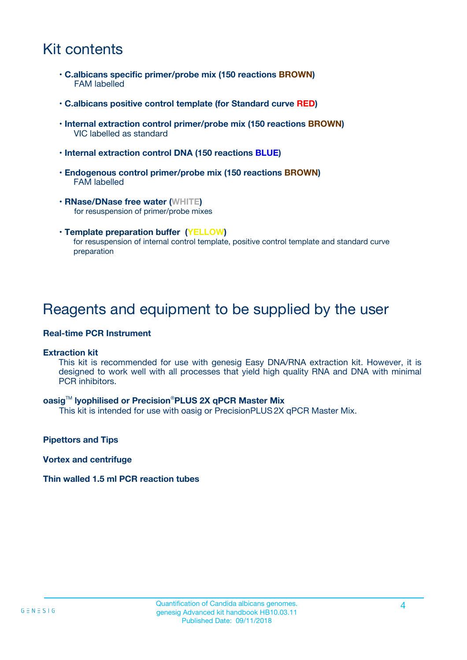## Kit contents

- **C.albicans specific primer/probe mix (150 reactions BROWN)** FAM labelled
- **C.albicans positive control template (for Standard curve RED)**
- **Internal extraction control primer/probe mix (150 reactions BROWN)** VIC labelled as standard
- **Internal extraction control DNA (150 reactions BLUE)**
- **Endogenous control primer/probe mix (150 reactions BROWN)** FAM labelled
- **RNase/DNase free water (WHITE)** for resuspension of primer/probe mixes
- **Template preparation buffer (YELLOW)** for resuspension of internal control template, positive control template and standard curve preparation

### Reagents and equipment to be supplied by the user

#### **Real-time PCR Instrument**

#### **Extraction kit**

This kit is recommended for use with genesig Easy DNA/RNA extraction kit. However, it is designed to work well with all processes that yield high quality RNA and DNA with minimal PCR inhibitors.

#### **oasig**TM **lyophilised or Precision**®**PLUS 2X qPCR Master Mix**

This kit is intended for use with oasig or PrecisionPLUS2X qPCR Master Mix.

**Pipettors and Tips**

**Vortex and centrifuge**

#### **Thin walled 1.5 ml PCR reaction tubes**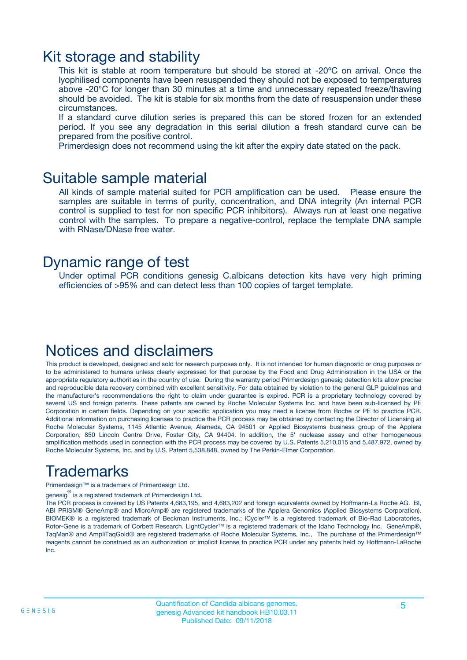### Kit storage and stability

This kit is stable at room temperature but should be stored at -20ºC on arrival. Once the lyophilised components have been resuspended they should not be exposed to temperatures above -20°C for longer than 30 minutes at a time and unnecessary repeated freeze/thawing should be avoided. The kit is stable for six months from the date of resuspension under these circumstances.

If a standard curve dilution series is prepared this can be stored frozen for an extended period. If you see any degradation in this serial dilution a fresh standard curve can be prepared from the positive control.

Primerdesign does not recommend using the kit after the expiry date stated on the pack.

### Suitable sample material

All kinds of sample material suited for PCR amplification can be used. Please ensure the samples are suitable in terms of purity, concentration, and DNA integrity (An internal PCR control is supplied to test for non specific PCR inhibitors). Always run at least one negative control with the samples. To prepare a negative-control, replace the template DNA sample with RNase/DNase free water.

### Dynamic range of test

Under optimal PCR conditions genesig C.albicans detection kits have very high priming efficiencies of >95% and can detect less than 100 copies of target template.

### Notices and disclaimers

This product is developed, designed and sold for research purposes only. It is not intended for human diagnostic or drug purposes or to be administered to humans unless clearly expressed for that purpose by the Food and Drug Administration in the USA or the appropriate regulatory authorities in the country of use. During the warranty period Primerdesign genesig detection kits allow precise and reproducible data recovery combined with excellent sensitivity. For data obtained by violation to the general GLP guidelines and the manufacturer's recommendations the right to claim under guarantee is expired. PCR is a proprietary technology covered by several US and foreign patents. These patents are owned by Roche Molecular Systems Inc. and have been sub-licensed by PE Corporation in certain fields. Depending on your specific application you may need a license from Roche or PE to practice PCR. Additional information on purchasing licenses to practice the PCR process may be obtained by contacting the Director of Licensing at Roche Molecular Systems, 1145 Atlantic Avenue, Alameda, CA 94501 or Applied Biosystems business group of the Applera Corporation, 850 Lincoln Centre Drive, Foster City, CA 94404. In addition, the 5' nuclease assay and other homogeneous amplification methods used in connection with the PCR process may be covered by U.S. Patents 5,210,015 and 5,487,972, owned by Roche Molecular Systems, Inc, and by U.S. Patent 5,538,848, owned by The Perkin-Elmer Corporation.

## Trademarks

Primerdesign™ is a trademark of Primerdesign Ltd.

genesig $^\circledR$  is a registered trademark of Primerdesign Ltd.

The PCR process is covered by US Patents 4,683,195, and 4,683,202 and foreign equivalents owned by Hoffmann-La Roche AG. BI, ABI PRISM® GeneAmp® and MicroAmp® are registered trademarks of the Applera Genomics (Applied Biosystems Corporation). BIOMEK® is a registered trademark of Beckman Instruments, Inc.; iCycler™ is a registered trademark of Bio-Rad Laboratories, Rotor-Gene is a trademark of Corbett Research. LightCycler™ is a registered trademark of the Idaho Technology Inc. GeneAmp®, TaqMan® and AmpliTaqGold® are registered trademarks of Roche Molecular Systems, Inc., The purchase of the Primerdesign™ reagents cannot be construed as an authorization or implicit license to practice PCR under any patents held by Hoffmann-LaRoche Inc.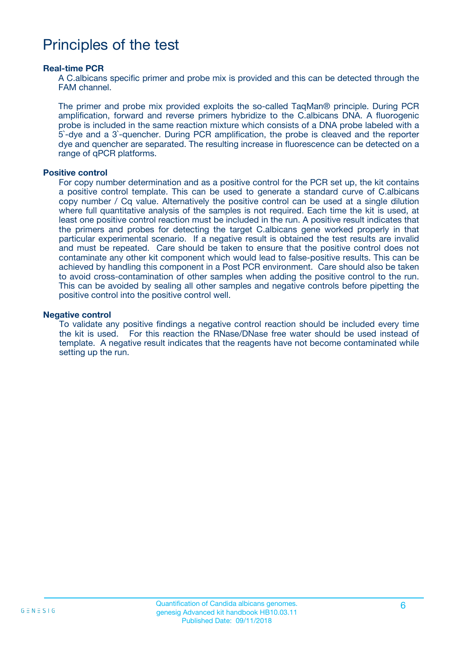## Principles of the test

#### **Real-time PCR**

A C.albicans specific primer and probe mix is provided and this can be detected through the FAM channel.

The primer and probe mix provided exploits the so-called TaqMan® principle. During PCR amplification, forward and reverse primers hybridize to the C.albicans DNA. A fluorogenic probe is included in the same reaction mixture which consists of a DNA probe labeled with a 5`-dye and a 3`-quencher. During PCR amplification, the probe is cleaved and the reporter dye and quencher are separated. The resulting increase in fluorescence can be detected on a range of qPCR platforms.

#### **Positive control**

For copy number determination and as a positive control for the PCR set up, the kit contains a positive control template. This can be used to generate a standard curve of C.albicans copy number / Cq value. Alternatively the positive control can be used at a single dilution where full quantitative analysis of the samples is not required. Each time the kit is used, at least one positive control reaction must be included in the run. A positive result indicates that the primers and probes for detecting the target C.albicans gene worked properly in that particular experimental scenario. If a negative result is obtained the test results are invalid and must be repeated. Care should be taken to ensure that the positive control does not contaminate any other kit component which would lead to false-positive results. This can be achieved by handling this component in a Post PCR environment. Care should also be taken to avoid cross-contamination of other samples when adding the positive control to the run. This can be avoided by sealing all other samples and negative controls before pipetting the positive control into the positive control well.

#### **Negative control**

To validate any positive findings a negative control reaction should be included every time the kit is used. For this reaction the RNase/DNase free water should be used instead of template. A negative result indicates that the reagents have not become contaminated while setting up the run.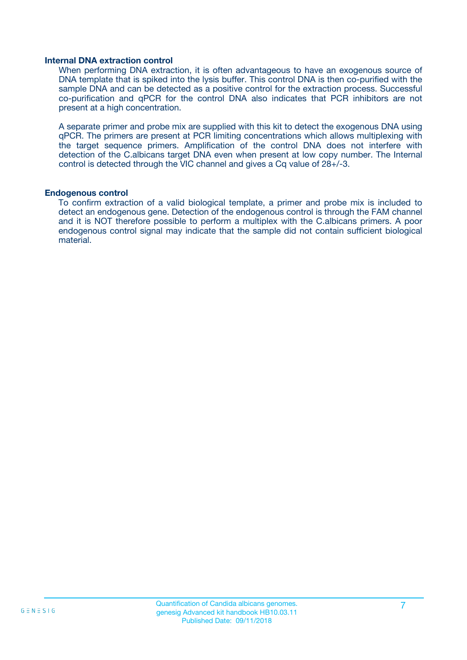#### **Internal DNA extraction control**

When performing DNA extraction, it is often advantageous to have an exogenous source of DNA template that is spiked into the lysis buffer. This control DNA is then co-purified with the sample DNA and can be detected as a positive control for the extraction process. Successful co-purification and qPCR for the control DNA also indicates that PCR inhibitors are not present at a high concentration.

A separate primer and probe mix are supplied with this kit to detect the exogenous DNA using qPCR. The primers are present at PCR limiting concentrations which allows multiplexing with the target sequence primers. Amplification of the control DNA does not interfere with detection of the C.albicans target DNA even when present at low copy number. The Internal control is detected through the VIC channel and gives a Cq value of 28+/-3.

#### **Endogenous control**

To confirm extraction of a valid biological template, a primer and probe mix is included to detect an endogenous gene. Detection of the endogenous control is through the FAM channel and it is NOT therefore possible to perform a multiplex with the C.albicans primers. A poor endogenous control signal may indicate that the sample did not contain sufficient biological material.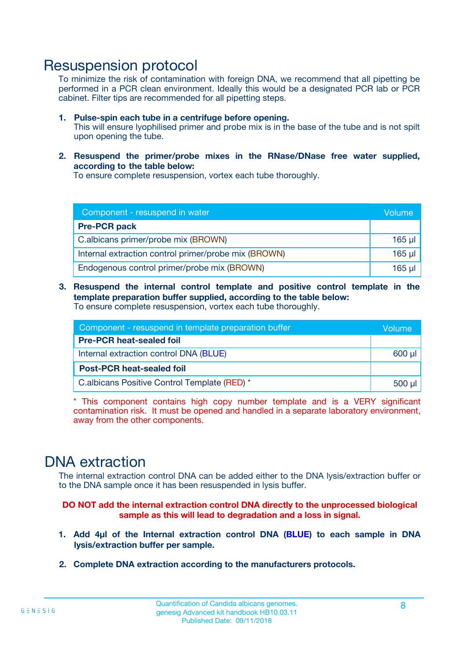### Resuspension protocol

To minimize the risk of contamination with foreign DNA, we recommend that all pipetting be performed in a PCR clean environment. Ideally this would be a designated PCR lab or PCR cabinet. Filter tips are recommended for all pipetting steps.

- **1. Pulse-spin each tube in a centrifuge before opening.** This will ensure lyophilised primer and probe mix is in the base of the tube and is not spilt upon opening the tube.
- **2. Resuspend the primer/probe mixes in the RNase/DNase free water supplied, according to the table below:**

To ensure complete resuspension, vortex each tube thoroughly.

| Component - resuspend in water                       |             |  |
|------------------------------------------------------|-------------|--|
| <b>Pre-PCR pack</b>                                  |             |  |
| C.albicans primer/probe mix (BROWN)                  | $165$ µ     |  |
| Internal extraction control primer/probe mix (BROWN) | $165$ $\mu$ |  |
| Endogenous control primer/probe mix (BROWN)          | $165$ µ     |  |

**3. Resuspend the internal control template and positive control template in the template preparation buffer supplied, according to the table below:** To ensure complete resuspension, vortex each tube thoroughly.

| Component - resuspend in template preparation buffer |  |  |  |
|------------------------------------------------------|--|--|--|
| <b>Pre-PCR heat-sealed foil</b>                      |  |  |  |
| Internal extraction control DNA (BLUE)               |  |  |  |
| <b>Post-PCR heat-sealed foil</b>                     |  |  |  |
| C.albicans Positive Control Template (RED) *         |  |  |  |

\* This component contains high copy number template and is a VERY significant contamination risk. It must be opened and handled in a separate laboratory environment, away from the other components.

### DNA extraction

The internal extraction control DNA can be added either to the DNA lysis/extraction buffer or to the DNA sample once it has been resuspended in lysis buffer.

**DO NOT add the internal extraction control DNA directly to the unprocessed biological sample as this will lead to degradation and a loss in signal.**

- **1. Add 4µl of the Internal extraction control DNA (BLUE) to each sample in DNA lysis/extraction buffer per sample.**
- **2. Complete DNA extraction according to the manufacturers protocols.**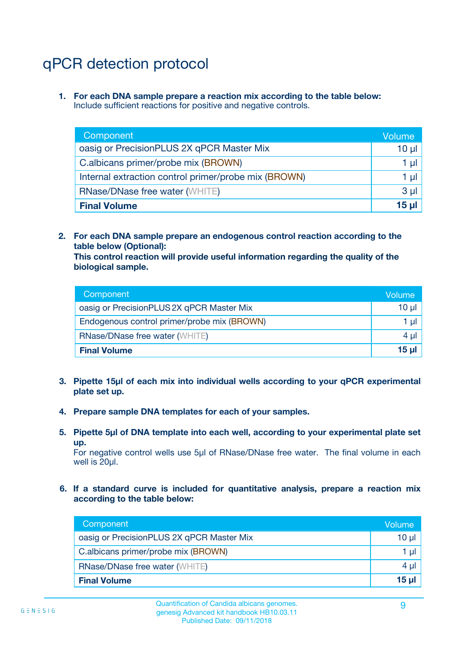## qPCR detection protocol

**1. For each DNA sample prepare a reaction mix according to the table below:** Include sufficient reactions for positive and negative controls.

| Component                                            | Volume   |
|------------------------------------------------------|----------|
| oasig or PrecisionPLUS 2X qPCR Master Mix            | $10 \mu$ |
| C.albicans primer/probe mix (BROWN)                  | 1 µI     |
| Internal extraction control primer/probe mix (BROWN) | 1 µl     |
| <b>RNase/DNase free water (WHITE)</b>                | $3 \mu$  |
| <b>Final Volume</b>                                  | 15 µl    |

**2. For each DNA sample prepare an endogenous control reaction according to the table below (Optional):**

**This control reaction will provide useful information regarding the quality of the biological sample.**

| Component                                   | Volume   |
|---------------------------------------------|----------|
| oasig or PrecisionPLUS 2X qPCR Master Mix   | $10 \mu$ |
| Endogenous control primer/probe mix (BROWN) | 1 µI     |
| <b>RNase/DNase free water (WHITE)</b>       | $4 \mu$  |
| <b>Final Volume</b>                         | 15 µl    |

- **3. Pipette 15µl of each mix into individual wells according to your qPCR experimental plate set up.**
- **4. Prepare sample DNA templates for each of your samples.**
- **5. Pipette 5µl of DNA template into each well, according to your experimental plate set up.**

For negative control wells use 5µl of RNase/DNase free water. The final volume in each well is 20ul.

**6. If a standard curve is included for quantitative analysis, prepare a reaction mix according to the table below:**

| Component                                 | Volume   |
|-------------------------------------------|----------|
| oasig or PrecisionPLUS 2X qPCR Master Mix | 10 µl    |
| C.albicans primer/probe mix (BROWN)       | 1 µI     |
| <b>RNase/DNase free water (WHITE)</b>     | 4 µl     |
| <b>Final Volume</b>                       | $15 \mu$ |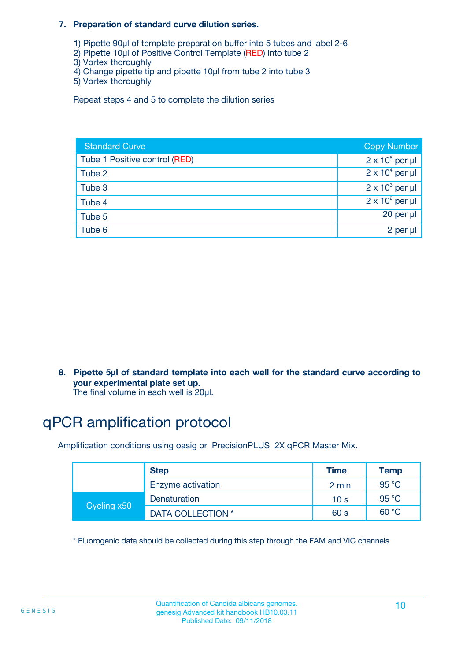#### **7. Preparation of standard curve dilution series.**

- 1) Pipette 90µl of template preparation buffer into 5 tubes and label 2-6
- 2) Pipette 10µl of Positive Control Template (RED) into tube 2
- 3) Vortex thoroughly
- 4) Change pipette tip and pipette 10µl from tube 2 into tube 3
- 5) Vortex thoroughly

Repeat steps 4 and 5 to complete the dilution series

| <b>Standard Curve</b>         | <b>Copy Number</b>     |
|-------------------------------|------------------------|
| Tube 1 Positive control (RED) | $2 \times 10^5$ per µl |
| Tube 2                        | $2 \times 10^4$ per µl |
| Tube 3                        | $2 \times 10^3$ per µl |
| Tube 4                        | $2 \times 10^2$ per µl |
| Tube 5                        | 20 per µl              |
| Tube 6                        | 2 per µl               |

**8. Pipette 5µl of standard template into each well for the standard curve according to your experimental plate set up.**

#### The final volume in each well is 20µl.

## qPCR amplification protocol

Amplification conditions using oasig or PrecisionPLUS 2X qPCR Master Mix.

|             | <b>Step</b>       | <b>Time</b>     | Temp    |
|-------------|-------------------|-----------------|---------|
|             | Enzyme activation | 2 min           | 95 °C   |
| Cycling x50 | Denaturation      | 10 <sub>s</sub> | 95 $°C$ |
|             | DATA COLLECTION * | 60 s            | 60 °C   |

\* Fluorogenic data should be collected during this step through the FAM and VIC channels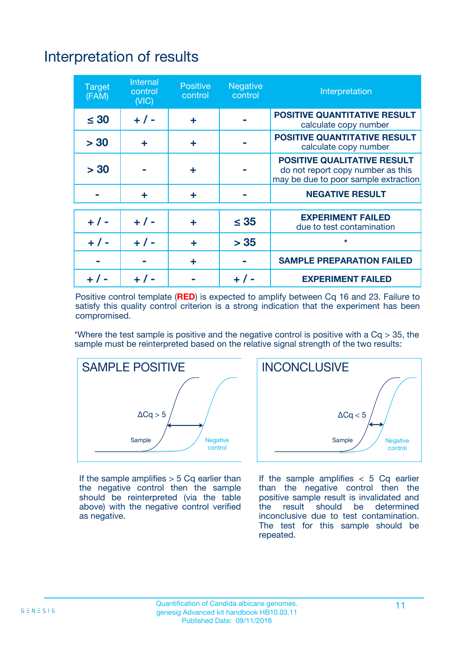## Interpretation of results

| <b>Target</b><br>(FAM) | <b>Internal</b><br>control<br>(NIC) | <b>Positive</b><br>control | <b>Negative</b><br>control | Interpretation                                                                                                  |
|------------------------|-------------------------------------|----------------------------|----------------------------|-----------------------------------------------------------------------------------------------------------------|
| $\leq 30$              | $+ 1 -$                             | ÷                          |                            | <b>POSITIVE QUANTITATIVE RESULT</b><br>calculate copy number                                                    |
| > 30                   | ٠                                   | ÷                          |                            | <b>POSITIVE QUANTITATIVE RESULT</b><br>calculate copy number                                                    |
| > 30                   |                                     | ÷                          |                            | <b>POSITIVE QUALITATIVE RESULT</b><br>do not report copy number as this<br>may be due to poor sample extraction |
|                        | ÷                                   | ÷                          |                            | <b>NEGATIVE RESULT</b>                                                                                          |
| $+ 1 -$                | $+ 1 -$                             | ÷                          | $\leq$ 35                  | <b>EXPERIMENT FAILED</b><br>due to test contamination                                                           |
| $+$ / -                | $+ 1 -$                             | ÷                          | > 35                       | $\star$                                                                                                         |
|                        |                                     | ÷                          |                            | <b>SAMPLE PREPARATION FAILED</b>                                                                                |
|                        |                                     |                            | $+$ /                      | <b>EXPERIMENT FAILED</b>                                                                                        |

Positive control template (**RED**) is expected to amplify between Cq 16 and 23. Failure to satisfy this quality control criterion is a strong indication that the experiment has been compromised.

\*Where the test sample is positive and the negative control is positive with a  $Ca > 35$ , the sample must be reinterpreted based on the relative signal strength of the two results:



If the sample amplifies  $> 5$  Cq earlier than the negative control then the sample should be reinterpreted (via the table above) with the negative control verified as negative.



If the sample amplifies  $< 5$  Cq earlier than the negative control then the positive sample result is invalidated and<br>the result should be determined  $the$  result should be inconclusive due to test contamination. The test for this sample should be repeated.